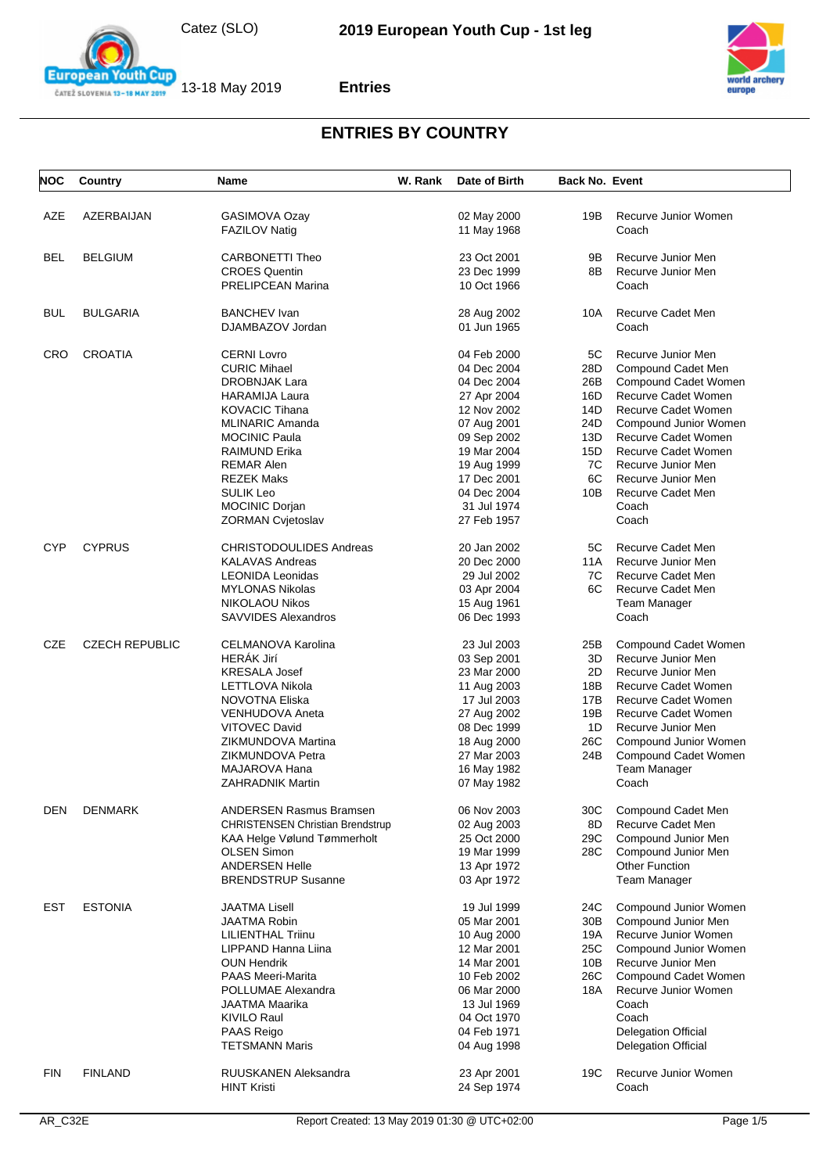



**Entries**



| <b>NOC</b> | Country               | Name                                    | W. Rank | Date of Birth | <b>Back No. Event</b> |                            |
|------------|-----------------------|-----------------------------------------|---------|---------------|-----------------------|----------------------------|
|            |                       |                                         |         |               |                       |                            |
| AZE        | AZERBAIJAN            | GASIMOVA Ozay                           |         | 02 May 2000   | 19B                   | Recurve Junior Women       |
|            |                       | FAZILOV Natig                           |         | 11 May 1968   |                       | Coach                      |
| <b>BEL</b> | <b>BELGIUM</b>        | <b>CARBONETTI Theo</b>                  |         | 23 Oct 2001   | 9Β                    | Recurve Junior Men         |
|            |                       | <b>CROES Quentin</b>                    |         | 23 Dec 1999   | 8B                    | Recurve Junior Men         |
|            |                       | <b>PRELIPCEAN Marina</b>                |         | 10 Oct 1966   |                       | Coach                      |
| <b>BUL</b> | <b>BULGARIA</b>       | <b>BANCHEV</b> Ivan                     |         | 28 Aug 2002   | 10A                   | Recurve Cadet Men          |
|            |                       | DJAMBAZOV Jordan                        |         | 01 Jun 1965   |                       | Coach                      |
| CRO        | <b>CROATIA</b>        | <b>CERNI Lovro</b>                      |         | 04 Feb 2000   | 5C                    | Recurve Junior Men         |
|            |                       | <b>CURIC Mihael</b>                     |         | 04 Dec 2004   | 28D                   | Compound Cadet Men         |
|            |                       | <b>DROBNJAK Lara</b>                    |         | 04 Dec 2004   | 26B                   | Compound Cadet Women       |
|            |                       | <b>HARAMIJA Laura</b>                   |         | 27 Apr 2004   | 16D                   | Recurve Cadet Women        |
|            |                       | <b>KOVACIC Tihana</b>                   |         | 12 Nov 2002   | 14D                   | Recurve Cadet Women        |
|            |                       |                                         |         |               |                       |                            |
|            |                       | <b>MLINARIC Amanda</b>                  |         | 07 Aug 2001   | 24D                   | Compound Junior Women      |
|            |                       | <b>MOCINIC Paula</b>                    |         | 09 Sep 2002   | 13D                   | Recurve Cadet Women        |
|            |                       | <b>RAIMUND Erika</b>                    |         | 19 Mar 2004   | 15D                   | Recurve Cadet Women        |
|            |                       | <b>REMAR Alen</b>                       |         | 19 Aug 1999   | 7C                    | Recurve Junior Men         |
|            |                       | <b>REZEK Maks</b>                       |         | 17 Dec 2001   | 6C                    | Recurve Junior Men         |
|            |                       | <b>SULIK Leo</b>                        |         | 04 Dec 2004   | 10B                   | Recurve Cadet Men          |
|            |                       | <b>MOCINIC Dorjan</b>                   |         | 31 Jul 1974   |                       | Coach                      |
|            |                       | <b>ZORMAN Cvjetoslav</b>                |         | 27 Feb 1957   |                       | Coach                      |
| <b>CYP</b> | <b>CYPRUS</b>         | <b>CHRISTODOULIDES Andreas</b>          |         | 20 Jan 2002   | 5C                    | Recurve Cadet Men          |
|            |                       | <b>KALAVAS Andreas</b>                  |         | 20 Dec 2000   | 11A                   | Recurve Junior Men         |
|            |                       | <b>LEONIDA Leonidas</b>                 |         | 29 Jul 2002   | 7C                    | Recurve Cadet Men          |
|            |                       | <b>MYLONAS Nikolas</b>                  |         | 03 Apr 2004   | 6C                    | Recurve Cadet Men          |
|            |                       | <b>NIKOLAOU Nikos</b>                   |         | 15 Aug 1961   |                       | Team Manager               |
|            |                       | <b>SAVVIDES Alexandros</b>              |         | 06 Dec 1993   |                       | Coach                      |
|            |                       |                                         |         |               |                       |                            |
| <b>CZE</b> | <b>CZECH REPUBLIC</b> | <b>CELMANOVA Karolina</b>               |         | 23 Jul 2003   | 25B                   | Compound Cadet Women       |
|            |                       | <b>HERÁK Jirí</b>                       |         | 03 Sep 2001   | 3D                    | Recurve Junior Men         |
|            |                       | <b>KRESALA Josef</b>                    |         | 23 Mar 2000   | 2D                    | Recurve Junior Men         |
|            |                       | LETTLOVA Nikola                         |         | 11 Aug 2003   | 18B                   | Recurve Cadet Women        |
|            |                       | NOVOTNA Eliska                          |         | 17 Jul 2003   | 17B                   | Recurve Cadet Women        |
|            |                       | <b>VENHUDOVA Aneta</b>                  |         | 27 Aug 2002   | 19B                   | Recurve Cadet Women        |
|            |                       | <b>VITOVEC David</b>                    |         | 08 Dec 1999   | 1D                    | Recurve Junior Men         |
|            |                       | ZIKMUNDOVA Martina                      |         | 18 Aug 2000   | 26C                   | Compound Junior Women      |
|            |                       | ZIKMUNDOVA Petra                        |         | 27 Mar 2003   | 24B                   | Compound Cadet Women       |
|            |                       | MAJAROVA Hana                           |         | 16 May 1982   |                       | Team Manager               |
|            |                       | <b>ZAHRADNIK Martin</b>                 |         | 07 May 1982   |                       | Coach                      |
|            |                       |                                         |         |               |                       |                            |
| <b>DEN</b> | <b>DENMARK</b>        | <b>ANDERSEN Rasmus Bramsen</b>          |         | 06 Nov 2003   | 30C                   | Compound Cadet Men         |
|            |                       | <b>CHRISTENSEN Christian Brendstrup</b> |         | 02 Aug 2003   | 8D                    | Recurve Cadet Men          |
|            |                       | KAA Helge Vølund Tømmerholt             |         | 25 Oct 2000   | 29C                   | Compound Junior Men        |
|            |                       | <b>OLSEN Simon</b>                      |         | 19 Mar 1999   | 28C                   | Compound Junior Men        |
|            |                       | <b>ANDERSEN Helle</b>                   |         | 13 Apr 1972   |                       | <b>Other Function</b>      |
|            |                       | <b>BRENDSTRUP Susanne</b>               |         | 03 Apr 1972   |                       | <b>Team Manager</b>        |
| <b>EST</b> | <b>ESTONIA</b>        | <b>JAATMA Lisell</b>                    |         | 19 Jul 1999   | 24C                   | Compound Junior Women      |
|            |                       | <b>JAATMA Robin</b>                     |         | 05 Mar 2001   | 30 <sub>B</sub>       | Compound Junior Men        |
|            |                       | <b>LILIENTHAL Triinu</b>                |         | 10 Aug 2000   | 19A                   | Recurve Junior Women       |
|            |                       | LIPPAND Hanna Liina                     |         | 12 Mar 2001   | 25C                   | Compound Junior Women      |
|            |                       | <b>OUN Hendrik</b>                      |         | 14 Mar 2001   | 10B                   | Recurve Junior Men         |
|            |                       | <b>PAAS Meeri-Marita</b>                |         | 10 Feb 2002   | 26C                   | Compound Cadet Women       |
|            |                       | POLLUMAE Alexandra                      |         |               |                       |                            |
|            |                       |                                         |         | 06 Mar 2000   | 18A                   | Recurve Junior Women       |
|            |                       | JAATMA Maarika                          |         | 13 Jul 1969   |                       | Coach                      |
|            |                       | <b>KIVILO Raul</b>                      |         | 04 Oct 1970   |                       | Coach                      |
|            |                       | PAAS Reigo                              |         | 04 Feb 1971   |                       | <b>Delegation Official</b> |
|            |                       | <b>TETSMANN Maris</b>                   |         | 04 Aug 1998   |                       | <b>Delegation Official</b> |
| <b>FIN</b> | <b>FINLAND</b>        | RUUSKANEN Aleksandra                    |         | 23 Apr 2001   | 19C                   | Recurve Junior Women       |
|            |                       | <b>HINT Kristi</b>                      |         | 24 Sep 1974   |                       | Coach                      |
|            |                       |                                         |         |               |                       |                            |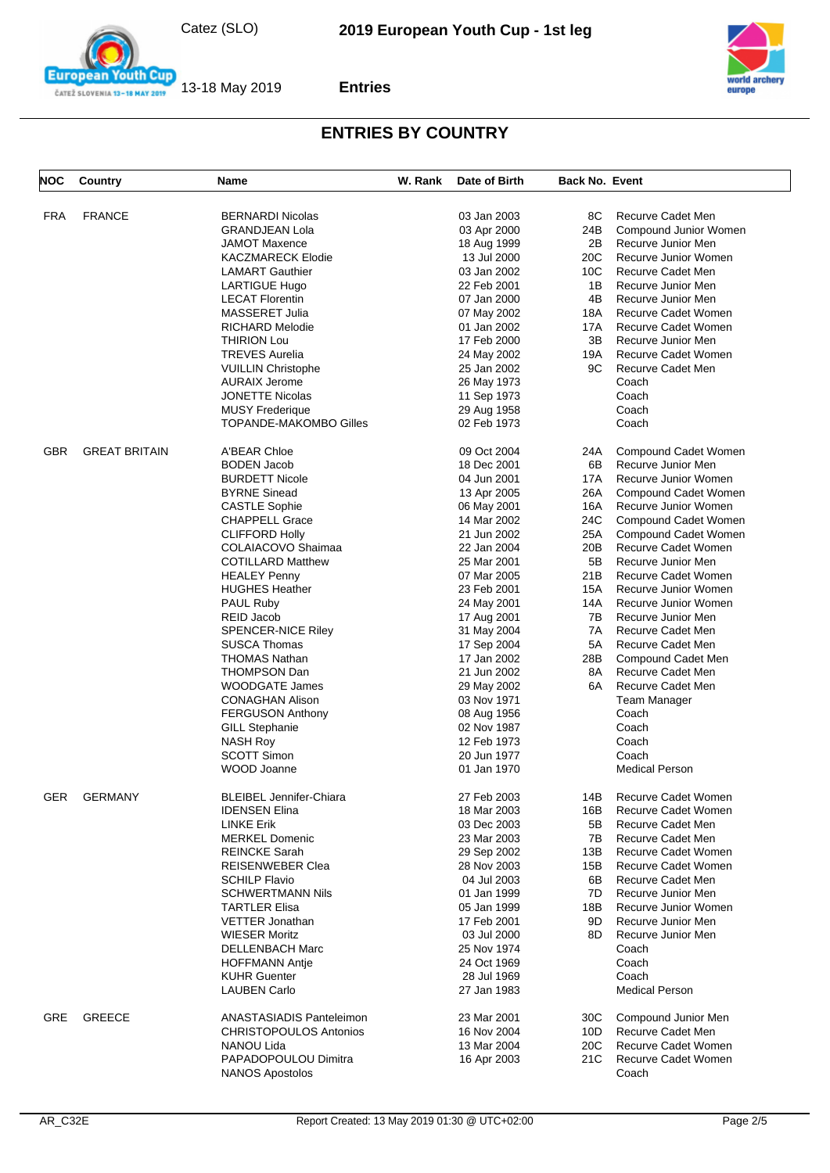

**Entries**



| NOC        | Country              | <b>Name</b>                     | W. Rank | Date of Birth | <b>Back No. Event</b> |                          |
|------------|----------------------|---------------------------------|---------|---------------|-----------------------|--------------------------|
|            | <b>FRANCE</b>        | <b>BERNARDI Nicolas</b>         |         | 03 Jan 2003   | 8C                    | Recurve Cadet Men        |
| <b>FRA</b> |                      |                                 |         |               |                       |                          |
|            |                      | <b>GRANDJEAN Lola</b>           |         | 03 Apr 2000   | 24B                   | Compound Junior Women    |
|            |                      | <b>JAMOT Maxence</b>            |         | 18 Aug 1999   | 2B                    | Recurve Junior Men       |
|            |                      | <b>KACZMARECK Elodie</b>        |         | 13 Jul 2000   | 20C                   | Recurve Junior Women     |
|            |                      | <b>LAMART Gauthier</b>          |         | 03 Jan 2002   | 10C                   | Recurve Cadet Men        |
|            |                      | LARTIGUE Hugo                   |         | 22 Feb 2001   | 1B                    | Recurve Junior Men       |
|            |                      | <b>LECAT Florentin</b>          |         | 07 Jan 2000   | 4B                    | Recurve Junior Men       |
|            |                      | MASSERET Julia                  |         | 07 May 2002   | 18A                   | Recurve Cadet Women      |
|            |                      | RICHARD Melodie                 |         | 01 Jan 2002   | 17A                   | Recurve Cadet Women      |
|            |                      | <b>THIRION Lou</b>              |         | 17 Feb 2000   | 3B                    | Recurve Junior Men       |
|            |                      | <b>TREVES Aurelia</b>           |         | 24 May 2002   | 19A                   | Recurve Cadet Women      |
|            |                      | <b>VUILLIN Christophe</b>       |         | 25 Jan 2002   | 9C                    | <b>Recurve Cadet Men</b> |
|            |                      | <b>AURAIX Jerome</b>            |         | 26 May 1973   |                       | Coach                    |
|            |                      | <b>JONETTE Nicolas</b>          |         | 11 Sep 1973   |                       | Coach                    |
|            |                      | <b>MUSY Frederique</b>          |         | 29 Aug 1958   |                       | Coach                    |
|            |                      |                                 |         |               |                       |                          |
|            |                      | TOPANDE-MAKOMBO Gilles          |         | 02 Feb 1973   |                       | Coach                    |
| <b>GBR</b> | <b>GREAT BRITAIN</b> | A'BEAR Chloe                    |         | 09 Oct 2004   | 24A                   | Compound Cadet Women     |
|            |                      | <b>BODEN Jacob</b>              |         | 18 Dec 2001   | 6B                    | Recurve Junior Men       |
|            |                      | <b>BURDETT Nicole</b>           |         | 04 Jun 2001   | 17A                   | Recurve Junior Women     |
|            |                      | <b>BYRNE Sinead</b>             |         | 13 Apr 2005   | 26A                   | Compound Cadet Women     |
|            |                      | <b>CASTLE Sophie</b>            |         | 06 May 2001   | 16A                   | Recurve Junior Women     |
|            |                      | <b>CHAPPELL Grace</b>           |         | 14 Mar 2002   | 24C                   | Compound Cadet Women     |
|            |                      | <b>CLIFFORD Holly</b>           |         | 21 Jun 2002   | 25A                   | Compound Cadet Women     |
|            |                      | COLAIACOVO Shaimaa              |         | 22 Jan 2004   | 20B                   | Recurve Cadet Women      |
|            |                      | <b>COTILLARD Matthew</b>        |         | 25 Mar 2001   | 5B                    | Recurve Junior Men       |
|            |                      | <b>HEALEY Penny</b>             |         | 07 Mar 2005   | 21B                   | Recurve Cadet Women      |
|            |                      | <b>HUGHES Heather</b>           |         | 23 Feb 2001   | 15A                   | Recurve Junior Women     |
|            |                      | PAUL Ruby                       |         | 24 May 2001   | 14A                   | Recurve Junior Women     |
|            |                      |                                 |         |               | 7B                    |                          |
|            |                      | REID Jacob                      |         | 17 Aug 2001   |                       | Recurve Junior Men       |
|            |                      | <b>SPENCER-NICE Riley</b>       |         | 31 May 2004   | 7A                    | Recurve Cadet Men        |
|            |                      | <b>SUSCA Thomas</b>             |         | 17 Sep 2004   | 5A                    | Recurve Cadet Men        |
|            |                      | <b>THOMAS Nathan</b>            |         | 17 Jan 2002   | 28B                   | Compound Cadet Men       |
|            |                      | <b>THOMPSON Dan</b>             |         | 21 Jun 2002   | 8A                    | Recurve Cadet Men        |
|            |                      | <b>WOODGATE James</b>           |         | 29 May 2002   | 6A                    | <b>Recurve Cadet Men</b> |
|            |                      | <b>CONAGHAN Alison</b>          |         | 03 Nov 1971   |                       | <b>Team Manager</b>      |
|            |                      | <b>FERGUSON Anthony</b>         |         | 08 Aug 1956   |                       | Coach                    |
|            |                      | <b>GILL Stephanie</b>           |         | 02 Nov 1987   |                       | Coach                    |
|            |                      | <b>NASH Roy</b>                 |         | 12 Feb 1973   |                       | Coach                    |
|            |                      | <b>SCOTT Simon</b>              |         | 20 Jun 1977   |                       | Coach                    |
|            |                      | WOOD Joanne                     |         | 01 Jan 1970   |                       | <b>Medical Person</b>    |
| <b>GER</b> | <b>GERMANY</b>       | <b>BLEIBEL Jennifer-Chiara</b>  |         | 27 Feb 2003   | 14B                   | Recurve Cadet Women      |
|            |                      |                                 |         |               |                       |                          |
|            |                      | <b>IDENSEN Elina</b>            |         | 18 Mar 2003   | 16B                   | Recurve Cadet Women      |
|            |                      | <b>LINKE Erik</b>               |         | 03 Dec 2003   | 5B                    | Recurve Cadet Men        |
|            |                      | <b>MERKEL Domenic</b>           |         | 23 Mar 2003   | 7В                    | Recurve Cadet Men        |
|            |                      | <b>REINCKE Sarah</b>            |         | 29 Sep 2002   | 13B                   | Recurve Cadet Women      |
|            |                      | <b>REISENWEBER Clea</b>         |         | 28 Nov 2003   | 15B                   | Recurve Cadet Women      |
|            |                      | <b>SCHILP Flavio</b>            |         | 04 Jul 2003   | 6B                    | Recurve Cadet Men        |
|            |                      | <b>SCHWERTMANN Nils</b>         |         | 01 Jan 1999   | 7D                    | Recurve Junior Men       |
|            |                      | <b>TARTLER Elisa</b>            |         | 05 Jan 1999   | 18B                   | Recurve Junior Women     |
|            |                      | VETTER Jonathan                 |         | 17 Feb 2001   | 9D                    | Recurve Junior Men       |
|            |                      | <b>WIESER Moritz</b>            |         | 03 Jul 2000   | 8D                    | Recurve Junior Men       |
|            |                      | DELLENBACH Marc                 |         | 25 Nov 1974   |                       | Coach                    |
|            |                      | <b>HOFFMANN Antie</b>           |         | 24 Oct 1969   |                       | Coach                    |
|            |                      | <b>KUHR Guenter</b>             |         | 28 Jul 1969   |                       | Coach                    |
|            |                      | <b>LAUBEN Carlo</b>             |         | 27 Jan 1983   |                       | <b>Medical Person</b>    |
|            |                      |                                 |         |               |                       |                          |
| <b>GRE</b> | <b>GREECE</b>        | <b>ANASTASIADIS Panteleimon</b> |         | 23 Mar 2001   | 30C                   | Compound Junior Men      |
|            |                      | <b>CHRISTOPOULOS Antonios</b>   |         | 16 Nov 2004   | 10D                   | Recurve Cadet Men        |
|            |                      | NANOU Lida                      |         | 13 Mar 2004   | 20C                   | Recurve Cadet Women      |
|            |                      | PAPADOPOULOU Dimitra            |         | 16 Apr 2003   | 21C                   | Recurve Cadet Women      |
|            |                      | <b>NANOS Apostolos</b>          |         |               |                       | Coach                    |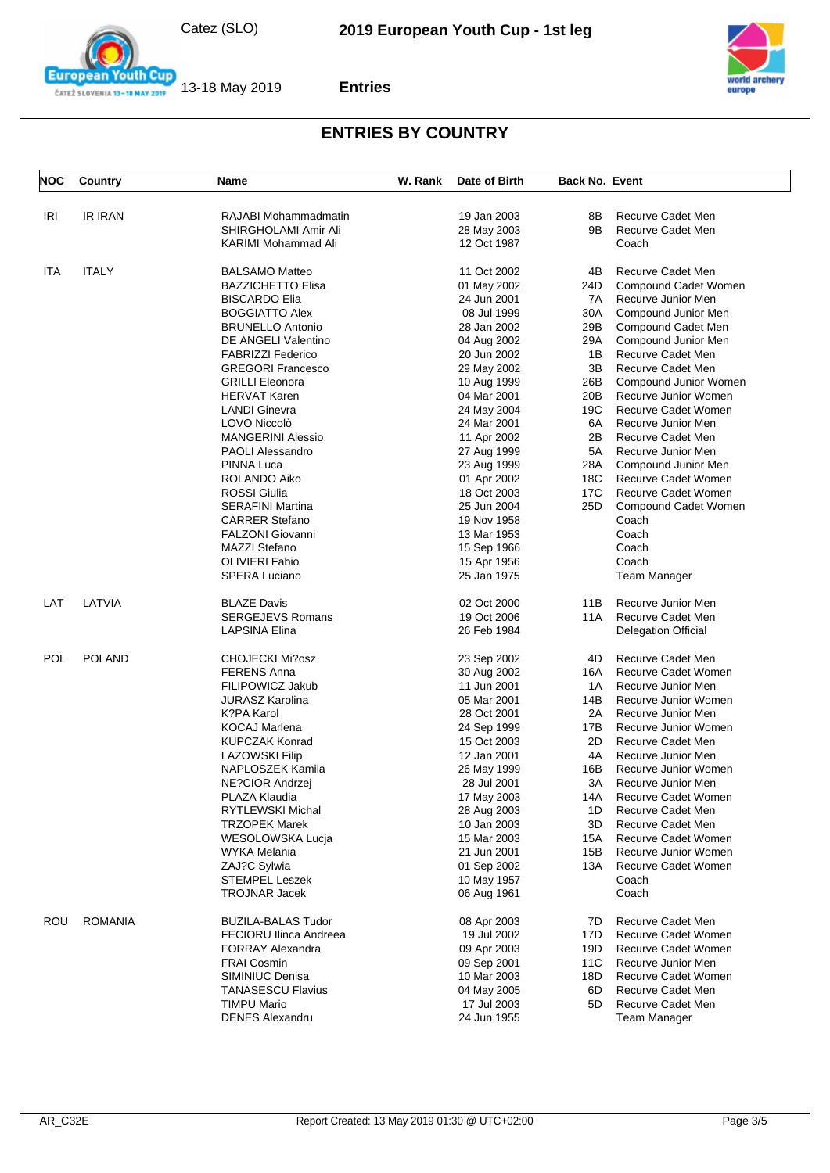

**Entries**



| <b>NOC</b> | Country        | Name                          | W. Rank | Date of Birth | <b>Back No. Event</b> |                            |
|------------|----------------|-------------------------------|---------|---------------|-----------------------|----------------------------|
| <b>IRI</b> | <b>IR IRAN</b> | RAJABI Mohammadmatin          |         | 19 Jan 2003   | 8Β                    | Recurve Cadet Men          |
|            |                | SHIRGHOLAMI Amir Ali          |         |               | 9B                    | Recurve Cadet Men          |
|            |                |                               |         | 28 May 2003   |                       |                            |
|            |                | <b>KARIMI Mohammad Ali</b>    |         | 12 Oct 1987   |                       | Coach                      |
| <b>ITA</b> | <b>ITALY</b>   | <b>BALSAMO Matteo</b>         |         | 11 Oct 2002   | 4B                    | Recurve Cadet Men          |
|            |                | <b>BAZZICHETTO Elisa</b>      |         | 01 May 2002   | 24D                   | Compound Cadet Women       |
|            |                | <b>BISCARDO Elia</b>          |         | 24 Jun 2001   | 7A                    | Recurve Junior Men         |
|            |                | <b>BOGGIATTO Alex</b>         |         | 08 Jul 1999   | 30A                   | Compound Junior Men        |
|            |                | <b>BRUNELLO Antonio</b>       |         | 28 Jan 2002   | 29B                   | Compound Cadet Men         |
|            |                | DE ANGELI Valentino           |         | 04 Aug 2002   | 29A                   | Compound Junior Men        |
|            |                | <b>FABRIZZI Federico</b>      |         | 20 Jun 2002   | 1B                    | Recurve Cadet Men          |
|            |                | <b>GREGORI Francesco</b>      |         | 29 May 2002   | 3B                    | Recurve Cadet Men          |
|            |                | <b>GRILLI Eleonora</b>        |         | 10 Aug 1999   | 26B                   | Compound Junior Women      |
|            |                | <b>HERVAT Karen</b>           |         | 04 Mar 2001   | 20B                   | Recurve Junior Women       |
|            |                | <b>LANDI Ginevra</b>          |         | 24 May 2004   | 19C                   | Recurve Cadet Women        |
|            |                | LOVO Niccolò                  |         | 24 Mar 2001   | 6A                    | Recurve Junior Men         |
|            |                | <b>MANGERINI Alessio</b>      |         | 11 Apr 2002   | 2B                    | Recurve Cadet Men          |
|            |                | <b>PAOLI Alessandro</b>       |         | 27 Aug 1999   | 5A                    | Recurve Junior Men         |
|            |                | PINNA Luca                    |         | 23 Aug 1999   | 28A                   | Compound Junior Men        |
|            |                | ROLANDO Aiko                  |         | 01 Apr 2002   | 18C                   | Recurve Cadet Women        |
|            |                | <b>ROSSI Giulia</b>           |         | 18 Oct 2003   | 17C                   | Recurve Cadet Women        |
|            |                | <b>SERAFINI Martina</b>       |         | 25 Jun 2004   | 25D                   | Compound Cadet Women       |
|            |                | <b>CARRER Stefano</b>         |         | 19 Nov 1958   |                       | Coach                      |
|            |                | <b>FALZONI Giovanni</b>       |         | 13 Mar 1953   |                       | Coach                      |
|            |                | MAZZI Stefano                 |         |               |                       | Coach                      |
|            |                | <b>OLIVIERI Fabio</b>         |         | 15 Sep 1966   |                       | Coach                      |
|            |                |                               |         | 15 Apr 1956   |                       |                            |
|            |                | <b>SPERA Luciano</b>          |         | 25 Jan 1975   |                       | <b>Team Manager</b>        |
| LAT        | LATVIA         | <b>BLAZE Davis</b>            |         | 02 Oct 2000   | 11B                   | Recurve Junior Men         |
|            |                | <b>SERGEJEVS Romans</b>       |         | 19 Oct 2006   | 11A                   | Recurve Cadet Men          |
|            |                | LAPSINA Elina                 |         | 26 Feb 1984   |                       | <b>Delegation Official</b> |
| POL        | <b>POLAND</b>  | <b>CHOJECKI Mi?osz</b>        |         | 23 Sep 2002   | 4D                    | Recurve Cadet Men          |
|            |                | <b>FERENS Anna</b>            |         | 30 Aug 2002   | 16A                   | Recurve Cadet Women        |
|            |                | FILIPOWICZ Jakub              |         | 11 Jun 2001   | 1A                    | Recurve Junior Men         |
|            |                | <b>JURASZ Karolina</b>        |         | 05 Mar 2001   | 14B                   | Recurve Junior Women       |
|            |                | K?PA Karol                    |         | 28 Oct 2001   | 2A                    | Recurve Junior Men         |
|            |                | <b>KOCAJ Marlena</b>          |         | 24 Sep 1999   | 17B                   | Recurve Junior Women       |
|            |                | <b>KUPCZAK Konrad</b>         |         | 15 Oct 2003   | 2D                    | Recurve Cadet Men          |
|            |                | <b>LAZOWSKI Filip</b>         |         | 12 Jan 2001   | 4A                    | Recurve Junior Men         |
|            |                | NAPLOSZEK Kamila              |         | 26 May 1999   | 16B                   | Recurve Junior Women       |
|            |                | <b>NE?CIOR Andrzei</b>        |         | 28 Jul 2001   | ЗA                    | Recurve Junior Men         |
|            |                | PLAZA Klaudia                 |         | 17 May 2003   | 14A                   | Recurve Cadet Women        |
|            |                | <b>RYTLEWSKI Michal</b>       |         | 28 Aug 2003   | 1D                    | Recurve Cadet Men          |
|            |                | <b>TRZOPEK Marek</b>          |         | 10 Jan 2003   | 3D                    | Recurve Cadet Men          |
|            |                | WESOLOWSKA Lucja              |         | 15 Mar 2003   | 15A                   | Recurve Cadet Women        |
|            |                | WYKA Melania                  |         | 21 Jun 2001   | 15B                   | Recurve Junior Women       |
|            |                | ZAJ?C Sylwia                  |         | 01 Sep 2002   | 13A                   | Recurve Cadet Women        |
|            |                | <b>STEMPEL Leszek</b>         |         | 10 May 1957   |                       | Coach                      |
|            |                | <b>TROJNAR Jacek</b>          |         | 06 Aug 1961   |                       | Coach                      |
|            |                |                               |         |               |                       |                            |
| ROU        | <b>ROMANIA</b> | <b>BUZILA-BALAS Tudor</b>     |         | 08 Apr 2003   | 7D                    | Recurve Cadet Men          |
|            |                | <b>FECIORU Ilinca Andreea</b> |         | 19 Jul 2002   | 17D                   | Recurve Cadet Women        |
|            |                | <b>FORRAY Alexandra</b>       |         | 09 Apr 2003   | 19D                   | Recurve Cadet Women        |
|            |                | <b>FRAI Cosmin</b>            |         | 09 Sep 2001   | 11C                   | Recurve Junior Men         |
|            |                | SIMINIUC Denisa               |         | 10 Mar 2003   | 18D                   | Recurve Cadet Women        |
|            |                | <b>TANASESCU Flavius</b>      |         | 04 May 2005   | 6D                    | Recurve Cadet Men          |
|            |                | <b>TIMPU Mario</b>            |         | 17 Jul 2003   | 5D                    | Recurve Cadet Men          |
|            |                | <b>DENES Alexandru</b>        |         | 24 Jun 1955   |                       | Team Manager               |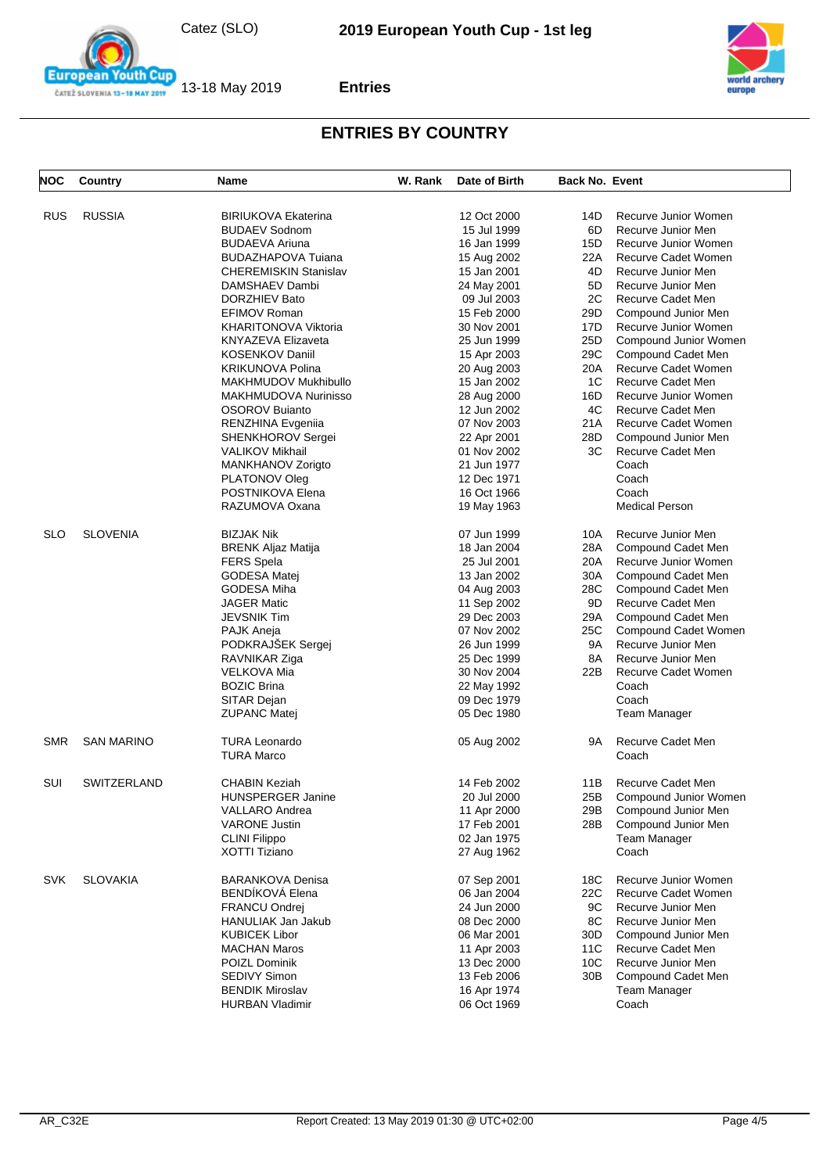

**Entries**



| NOC        | <b>Country</b>     | Name                                      | W. Rank | Date of Birth | <b>Back No. Event</b> |                            |
|------------|--------------------|-------------------------------------------|---------|---------------|-----------------------|----------------------------|
| <b>RUS</b> | <b>RUSSIA</b>      | <b>BIRIUKOVA Ekaterina</b>                |         | 12 Oct 2000   | 14D                   | Recurve Junior Women       |
|            |                    | <b>BUDAEV Sodnom</b>                      |         | 15 Jul 1999   | 6D                    |                            |
|            |                    | <b>BUDAEVA Ariuna</b>                     |         |               |                       | Recurve Junior Men         |
|            |                    |                                           |         | 16 Jan 1999   | 15D                   | Recurve Junior Women       |
|            |                    | <b>BUDAZHAPOVA Tujana</b>                 |         | 15 Aug 2002   | 22A                   | Recurve Cadet Women        |
|            |                    | <b>CHEREMISKIN Stanislav</b>              |         | 15 Jan 2001   | 4D                    | Recurve Junior Men         |
|            |                    | DAMSHAEV Dambi                            |         | 24 May 2001   | 5D                    | Recurve Junior Men         |
|            |                    | DORZHIEV Bato                             |         | 09 Jul 2003   | 2C                    | Recurve Cadet Men          |
|            |                    | EFIMOV Roman                              |         | 15 Feb 2000   | 29D                   | Compound Junior Men        |
|            |                    | KHARITONOVA Viktoria                      |         | 30 Nov 2001   | 17D                   | Recurve Junior Women       |
|            |                    | <b>KNYAZEVA Elizaveta</b>                 |         | 25 Jun 1999   | 25D                   | Compound Junior Women      |
|            |                    | <b>KOSENKOV Daniil</b>                    |         | 15 Apr 2003   | 29C                   | Compound Cadet Men         |
|            |                    | <b>KRIKUNOVA Polina</b>                   |         | 20 Aug 2003   | 20A                   | Recurve Cadet Women        |
|            |                    | MAKHMUDOV Mukhibullo                      |         | 15 Jan 2002   | 1C                    | Recurve Cadet Men          |
|            |                    | MAKHMUDOVA Nurinisso                      |         | 28 Aug 2000   | 16D                   | Recurve Junior Women       |
|            |                    | OSOROV Bujanto                            |         | 12 Jun 2002   | 4C                    | Recurve Cadet Men          |
|            |                    | RENZHINA Evgeniia                         |         | 07 Nov 2003   | 21 A                  | Recurve Cadet Women        |
|            |                    | SHENKHOROV Sergei                         |         | 22 Apr 2001   | 28D                   | Compound Junior Men        |
|            |                    | <b>VALIKOV Mikhail</b>                    |         | 01 Nov 2002   | ЗC                    | Recurve Cadet Men          |
|            |                    | MANKHANOV Zorigto                         |         | 21 Jun 1977   |                       | Coach                      |
|            |                    | PLATONOV Oleg                             |         | 12 Dec 1971   |                       | Coach                      |
|            |                    | POSTNIKOVA Elena                          |         | 16 Oct 1966   |                       | Coach                      |
|            |                    | RAZUMOVA Oxana                            |         | 19 May 1963   |                       | <b>Medical Person</b>      |
| <b>SLO</b> | <b>SLOVENIA</b>    | <b>BIZJAK Nik</b>                         |         | 07 Jun 1999   | 10A                   | Recurve Junior Men         |
|            |                    | <b>BRENK Aljaz Matija</b>                 |         | 18 Jan 2004   | 28A                   | Compound Cadet Men         |
|            |                    | <b>FERS Spela</b>                         |         | 25 Jul 2001   | 20A                   | Recurve Junior Women       |
|            |                    | GODESA Matej                              |         | 13 Jan 2002   | 30A                   | Compound Cadet Men         |
|            |                    | GODESA Miha                               |         | 04 Aug 2003   | 28C                   | Compound Cadet Men         |
|            |                    | <b>JAGER Matic</b>                        |         | 11 Sep 2002   | 9D                    | Recurve Cadet Men          |
|            |                    | <b>JEVSNIK Tim</b>                        |         | 29 Dec 2003   | 29A                   | Compound Cadet Men         |
|            |                    | PAJK Aneja                                |         | 07 Nov 2002   | 25C                   | Compound Cadet Women       |
|            |                    | PODKRAJSEK Sergej                         |         | 26 Jun 1999   | 9A                    | Recurve Junior Men         |
|            |                    | RAVNIKAR Ziga                             |         | 25 Dec 1999   | 8A                    | Recurve Junior Men         |
|            |                    | VELKOVA Mia                               |         | 30 Nov 2004   | 22B                   | Recurve Cadet Women        |
|            |                    | <b>BOZIC Brina</b>                        |         | 22 May 1992   |                       | Coach                      |
|            |                    | SITAR Dejan                               |         | 09 Dec 1979   |                       | Coach                      |
|            |                    | <b>ZUPANC Matej</b>                       |         | 05 Dec 1980   |                       | Team Manager               |
| <b>SMR</b> | <b>SAN MARINO</b>  | <b>TURA Leonardo</b><br><b>TURA Marco</b> |         | 05 Aug 2002   | 9A                    | Recurve Cadet Men<br>Coach |
| SUI        | <b>SWITZERLAND</b> | CHABIN Keziah                             |         | 14 Feb 2002   | 11B                   | Recurve Cadet Men          |
|            |                    | HUNSPERGER Janine                         |         | 20 Jul 2000   |                       | 25B Compound Junior Women  |
|            |                    | VALLARO Andrea                            |         | 11 Apr 2000   | 29B                   | Compound Junior Men        |
|            |                    | <b>VARONE Justin</b>                      |         | 17 Feb 2001   | 28B                   | Compound Junior Men        |
|            |                    | <b>CLINI Filippo</b>                      |         | 02 Jan 1975   |                       | Team Manager               |
|            |                    | <b>XOTTI Tiziano</b>                      |         | 27 Aug 1962   |                       | Coach                      |
| <b>SVK</b> | <b>SLOVAKIA</b>    | <b>BARANKOVA Denisa</b>                   |         | 07 Sep 2001   | 18C                   | Recurve Junior Women       |
|            |                    | BENDÍKOVÁ Elena                           |         | 06 Jan 2004   | 22C                   | Recurve Cadet Women        |
|            |                    | <b>FRANCU Ondrej</b>                      |         | 24 Jun 2000   | 9C                    | Recurve Junior Men         |
|            |                    | HANULIAK Jan Jakub                        |         | 08 Dec 2000   | 8C                    | Recurve Junior Men         |
|            |                    | <b>KUBICEK Libor</b>                      |         | 06 Mar 2001   | 30D                   | Compound Junior Men        |
|            |                    | <b>MACHAN Maros</b>                       |         | 11 Apr 2003   | 11C                   | Recurve Cadet Men          |
|            |                    | POIZL Dominik                             |         | 13 Dec 2000   | 10C                   | Recurve Junior Men         |
|            |                    | SEDIVY Simon                              |         | 13 Feb 2006   | 30B                   | Compound Cadet Men         |
|            |                    | <b>BENDIK Miroslav</b>                    |         | 16 Apr 1974   |                       | Team Manager               |
|            |                    | <b>HURBAN Vladimir</b>                    |         | 06 Oct 1969   |                       | Coach                      |